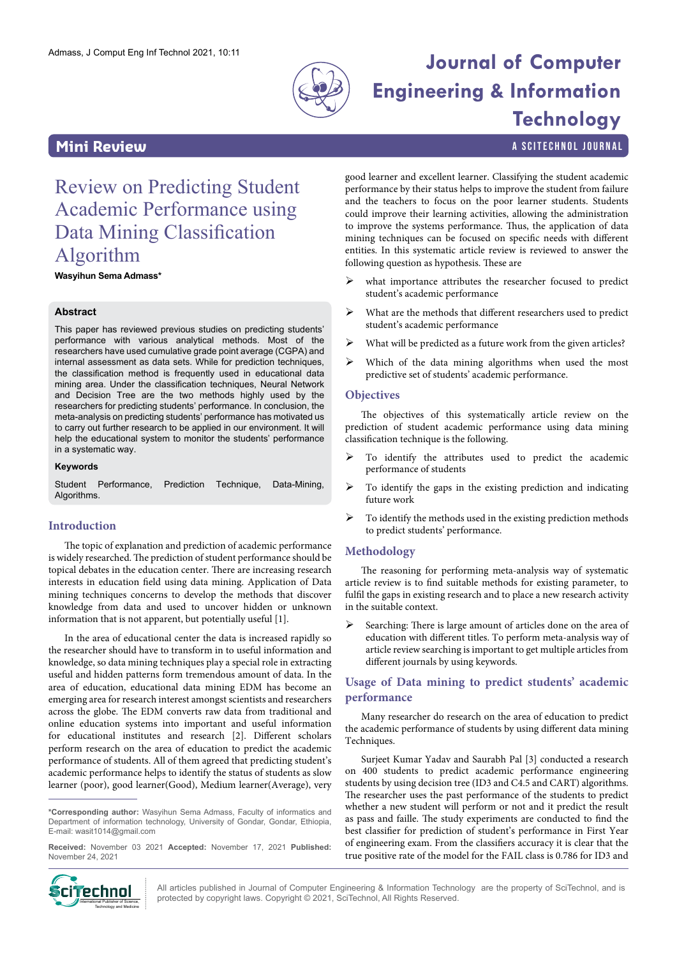

# Admass, J Comput Eng Inf Technol 2021, 10:11 **Journal of Computer Engineering & Information Technology**

**Mini Review a Scitter and Scite Charles Containers** and the settlement of the settlement of the settlement of the settlement of the settlement of the settlement of the settlement of the settlement of the settlement of t

## Review on Predicting Student Academic Performance using Data Mining Classification Algorithm

**Wasyihun Sema Admass\***

#### **Abstract**

This paper has reviewed previous studies on predicting students' performance with various analytical methods. Most of the researchers have used cumulative grade point average (CGPA) and internal assessment as data sets. While for prediction techniques, the classification method is frequently used in educational data mining area. Under the classification techniques, Neural Network and Decision Tree are the two methods highly used by the researchers for predicting students' performance. In conclusion, the meta-analysis on predicting students' performance has motivated us to carry out further research to be applied in our environment. It will help the educational system to monitor the students' performance in a systematic way.

#### **Keywords**

Student Performance, Prediction Technique, Data-Mining, Algorithms

#### **Introduction**

The topic of explanation and prediction of academic performance is widely researched. The prediction of student performance should be topical debates in the education center. There are increasing research interests in education field using data mining. Application of Data mining techniques concerns to develop the methods that discover knowledge from data and used to uncover hidden or unknown information that is not apparent, but potentially useful [1].

In the area of educational center the data is increased rapidly so the researcher should have to transform in to useful information and knowledge, so data mining techniques play a special role in extracting useful and hidden patterns form tremendous amount of data. In the area of education, educational data mining EDM has become an emerging area for research interest amongst scientists and researchers across the globe. The EDM converts raw data from traditional and online education systems into important and useful information for educational institutes and research [2]. Different scholars perform research on the area of education to predict the academic performance of students. All of them agreed that predicting student's academic performance helps to identify the status of students as slow learner (poor), good learner(Good), Medium learner(Average), very

**\*Corresponding author:** Wasyihun Sema Admass, Faculty of informatics and Department of information technology, University of Gondar, Gondar, Ethiopia, E-mail: wasit1014@gmail.com

**Received:** November 03 2021 **Accepted:** November 17, 2021 **Published:** November 24, 2021



good learner and excellent learner. Classifying the student academic performance by their status helps to improve the student from failure and the teachers to focus on the poor learner students. Students could improve their learning activities, allowing the administration to improve the systems performance. Thus, the application of data mining techniques can be focused on specific needs with different entities. In this systematic article review is reviewed to answer the following question as hypothesis. These are

- ¾ what importance attributes the researcher focused to predict student's academic performance
- $\triangleright$  What are the methods that different researchers used to predict student's academic performance
- $\triangleright$  What will be predicted as a future work from the given articles?
- $\triangleright$  Which of the data mining algorithms when used the most predictive set of students' academic performance.

#### **Objectives**

The objectives of this systematically article review on the prediction of student academic performance using data mining classification technique is the following.

- To identify the attributes used to predict the academic performance of students
- ¾ To identify the gaps in the existing prediction and indicating future work
- $\triangleright$  To identify the methods used in the existing prediction methods to predict students' performance.

#### **Methodology**

The reasoning for performing meta-analysis way of systematic article review is to find suitable methods for existing parameter, to fulfil the gaps in existing research and to place a new research activity in the suitable context.

Searching: There is large amount of articles done on the area of education with different titles. To perform meta-analysis way of article review searching is important to get multiple articles from different journals by using keywords.

#### **Usage of Data mining to predict students' academic performance**

Many researcher do research on the area of education to predict the academic performance of students by using different data mining Techniques.

Surjeet Kumar Yadav and Saurabh Pal [3] conducted a research on 400 students to predict academic performance engineering students by using decision tree (ID3 and C4.5 and CART) algorithms. The researcher uses the past performance of the students to predict whether a new student will perform or not and it predict the result as pass and faille. The study experiments are conducted to find the best classifier for prediction of student's performance in First Year of engineering exam. From the classifiers accuracy it is clear that the true positive rate of the model for the FAIL class is 0.786 for ID3 and

All articles published in Journal of Computer Engineering & Information Technology are the property of SciTechnol, and is **protect and all protected** by copyright laws. Copyright © 2021, SciTechnol, All Rights Reserved.<br>International Publisher of Sidence, interacted by copyright laws. Copyright © 2021, SciTechnol, All Rights Reserved.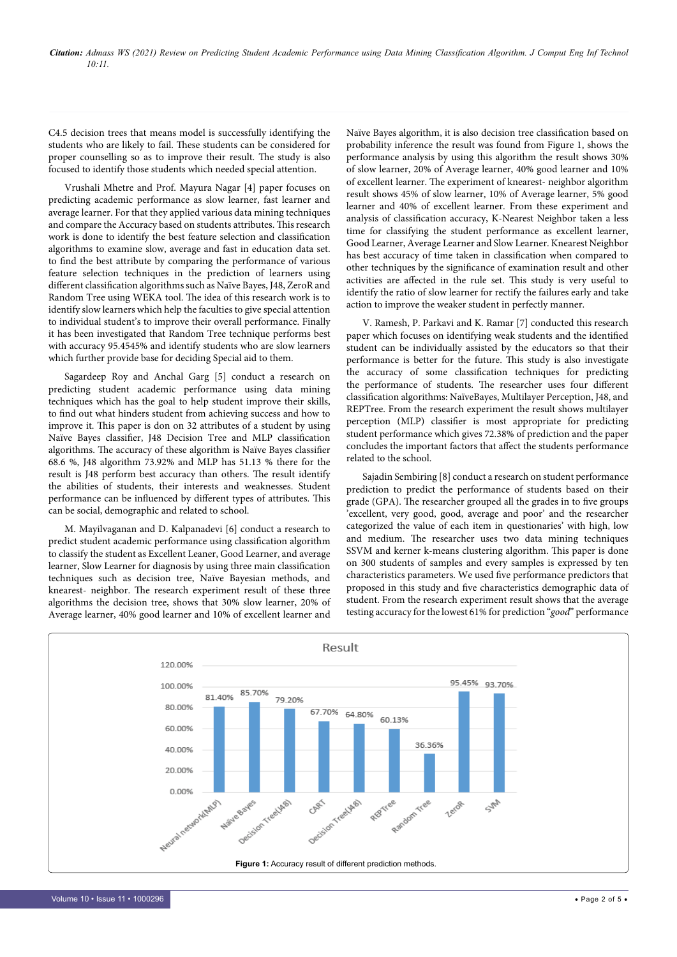C4.5 decision trees that means model is successfully identifying the students who are likely to fail. These students can be considered for proper counselling so as to improve their result. The study is also focused to identify those students which needed special attention.

Vrushali Mhetre and Prof. Mayura Nagar [4] paper focuses on predicting academic performance as slow learner, fast learner and average learner. For that they applied various data mining techniques and compare the Accuracy based on students attributes. This research work is done to identify the best feature selection and classification algorithms to examine slow, average and fast in education data set. to find the best attribute by comparing the performance of various feature selection techniques in the prediction of learners using different classification algorithms such as Naïve Bayes, J48, ZeroR and Random Tree using WEKA tool. The idea of this research work is to identify slow learners which help the faculties to give special attention to individual student's to improve their overall performance. Finally it has been investigated that Random Tree technique performs best with accuracy 95.4545% and identify students who are slow learners which further provide base for deciding Special aid to them.

Sagardeep Roy and Anchal Garg [5] conduct a research on predicting student academic performance using data mining techniques which has the goal to help student improve their skills, to find out what hinders student from achieving success and how to improve it. This paper is don on 32 attributes of a student by using Naïve Bayes classifier, J48 Decision Tree and MLP classification algorithms. The accuracy of these algorithm is Naïve Bayes classifier 68.6 %, J48 algorithm 73.92% and MLP has 51.13 % there for the result is J48 perform best accuracy than others. The result identify the abilities of students, their interests and weaknesses. Student performance can be influenced by different types of attributes. This can be social, demographic and related to school.

M. Mayilvaganan and D. Kalpanadevi [6] conduct a research to predict student academic performance using classification algorithm to classify the student as Excellent Leaner, Good Learner, and average learner, Slow Learner for diagnosis by using three main classification techniques such as decision tree, Naïve Bayesian methods, and knearest- neighbor. The research experiment result of these three algorithms the decision tree, shows that 30% slow learner, 20% of Average learner, 40% good learner and 10% of excellent learner and Naïve Bayes algorithm, it is also decision tree classification based on probability inference the result was found from Figure 1, shows the performance analysis by using this algorithm the result shows 30% of slow learner, 20% of Average learner, 40% good learner and 10% of excellent learner. The experiment of knearest- neighbor algorithm result shows 45% of slow learner, 10% of Average learner, 5% good learner and 40% of excellent learner. From these experiment and analysis of classification accuracy, K-Nearest Neighbor taken a less time for classifying the student performance as excellent learner, Good Learner, Average Learner and Slow Learner. Knearest Neighbor has best accuracy of time taken in classification when compared to other techniques by the significance of examination result and other activities are affected in the rule set. This study is very useful to identify the ratio of slow learner for rectify the failures early and take action to improve the weaker student in perfectly manner.

V. Ramesh, P. Parkavi and K. Ramar [7] conducted this research paper which focuses on identifying weak students and the identified student can be individually assisted by the educators so that their performance is better for the future. This study is also investigate the accuracy of some classification techniques for predicting the performance of students. The researcher uses four different classification algorithms: NaïveBayes, Multilayer Perception, J48, and REPTree. From the research experiment the result shows multilayer perception (MLP) classifier is most appropriate for predicting student performance which gives 72.38% of prediction and the paper concludes the important factors that affect the students performance related to the school.

Sajadin Sembiring [8] conduct a research on student performance prediction to predict the performance of students based on their grade (GPA). The researcher grouped all the grades in to five groups 'excellent, very good, good, average and poor' and the researcher categorized the value of each item in questionaries' with high, low and medium. The researcher uses two data mining techniques SSVM and kerner k-means clustering algorithm. This paper is done on 300 students of samples and every samples is expressed by ten characteristics parameters. We used five performance predictors that proposed in this study and five characteristics demographic data of student. From the research experiment result shows that the average testing accuracy for the lowest 61% for prediction "*good*" performance

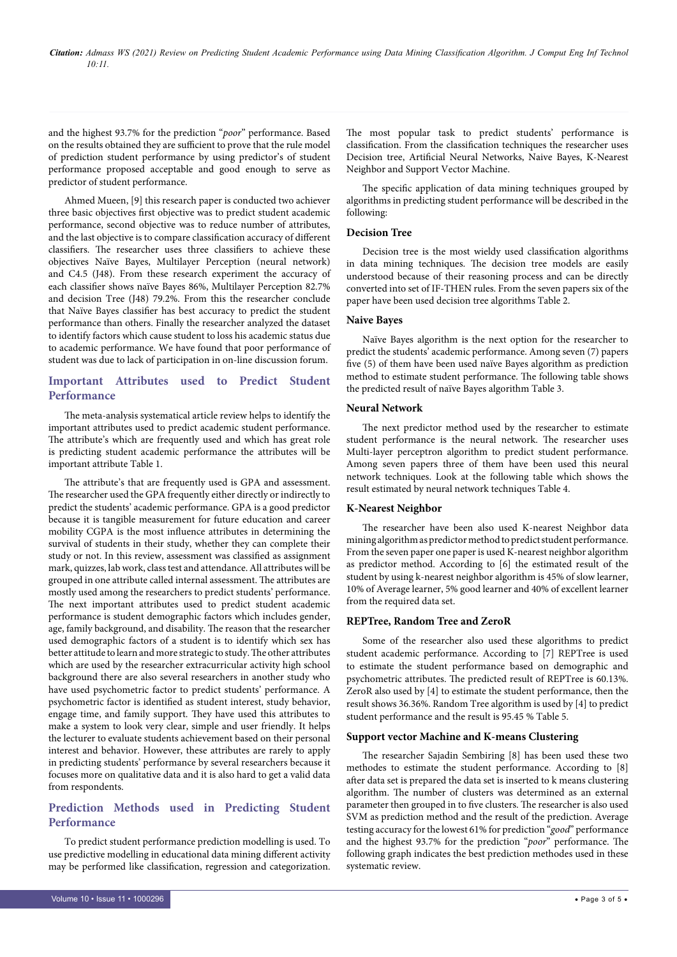*Citation: Admass WS (2021) Review on Predicting Student Academic Performance using Data Mining Classification Algorithm. J Comput Eng Inf Technol 10:11.*

and the highest 93.7% for the prediction "*poor*" performance. Based on the results obtained they are sufficient to prove that the rule model of prediction student performance by using predictor's of student performance proposed acceptable and good enough to serve as predictor of student performance.

Ahmed Mueen, [9] this research paper is conducted two achiever three basic objectives first objective was to predict student academic performance, second objective was to reduce number of attributes, and the last objective is to compare classification accuracy of different classifiers. The researcher uses three classifiers to achieve these objectives Naïve Bayes, Multilayer Perception (neural network) and C4.5 (J48). From these research experiment the accuracy of each classifier shows naïve Bayes 86%, Multilayer Perception 82.7% and decision Tree (J48) 79.2%. From this the researcher conclude that Naïve Bayes classifier has best accuracy to predict the student performance than others. Finally the researcher analyzed the dataset to identify factors which cause student to loss his academic status due to academic performance. We have found that poor performance of student was due to lack of participation in on-line discussion forum.

#### **Important Attributes used to Predict Student Performance**

The meta-analysis systematical article review helps to identify the important attributes used to predict academic student performance. The attribute's which are frequently used and which has great role is predicting student academic performance the attributes will be important attribute Table 1.

The attribute's that are frequently used is GPA and assessment. The researcher used the GPA frequently either directly or indirectly to predict the students' academic performance. GPA is a good predictor because it is tangible measurement for future education and career mobility CGPA is the most influence attributes in determining the survival of students in their study, whether they can complete their study or not. In this review, assessment was classified as assignment mark, quizzes, lab work, class test and attendance. All attributes will be grouped in one attribute called internal assessment. The attributes are mostly used among the researchers to predict students' performance. The next important attributes used to predict student academic performance is student demographic factors which includes gender, age, family background, and disability. The reason that the researcher used demographic factors of a student is to identify which sex has better attitude to learn and more strategic to study. The other attributes which are used by the researcher extracurricular activity high school background there are also several researchers in another study who have used psychometric factor to predict students' performance. A psychometric factor is identified as student interest, study behavior, engage time, and family support. They have used this attributes to make a system to look very clear, simple and user friendly. It helps the lecturer to evaluate students achievement based on their personal interest and behavior. However, these attributes are rarely to apply in predicting students' performance by several researchers because it focuses more on qualitative data and it is also hard to get a valid data from respondents.

### **Prediction Methods used in Predicting Student Performance**

To predict student performance prediction modelling is used. To use predictive modelling in educational data mining different activity may be performed like classification, regression and categorization.

The specific application of data mining techniques grouped by algorithms in predicting student performance will be described in the following:

#### **Decision Tree**

Decision tree is the most wieldy used classification algorithms in data mining techniques. The decision tree models are easily understood because of their reasoning process and can be directly converted into set of IF-THEN rules. From the seven papers six of the paper have been used decision tree algorithms Table 2.

#### **Naive Bayes**

Naïve Bayes algorithm is the next option for the researcher to predict the students' academic performance. Among seven (7) papers five (5) of them have been used naïve Bayes algorithm as prediction method to estimate student performance. The following table shows the predicted result of naïve Bayes algorithm Table 3.

#### **Neural Network**

The next predictor method used by the researcher to estimate student performance is the neural network. The researcher uses Multi-layer perceptron algorithm to predict student performance. Among seven papers three of them have been used this neural network techniques. Look at the following table which shows the result estimated by neural network techniques Table 4.

#### **K-Nearest Neighbor**

The researcher have been also used K-nearest Neighbor data mining algorithm as predictor method to predict student performance. From the seven paper one paper is used K-nearest neighbor algorithm as predictor method. According to [6] the estimated result of the student by using k-nearest neighbor algorithm is 45% of slow learner, 10% of Average learner, 5% good learner and 40% of excellent learner from the required data set.

#### **REPTree, Random Tree and ZeroR**

Some of the researcher also used these algorithms to predict student academic performance. According to [7] REPTree is used to estimate the student performance based on demographic and psychometric attributes. The predicted result of REPTree is 60.13%. ZeroR also used by [4] to estimate the student performance, then the result shows 36.36%. Random Tree algorithm is used by [4] to predict student performance and the result is 95.45 % Table 5.

#### **Support vector Machine and K-means Clustering**

The researcher Sajadin Sembiring [8] has been used these two methodes to estimate the student performance. According to [8] after data set is prepared the data set is inserted to k means clustering algorithm. The number of clusters was determined as an external parameter then grouped in to five clusters. The researcher is also used SVM as prediction method and the result of the prediction. Average testing accuracy for the lowest 61% for prediction "*good*" performance and the highest 93.7% for the prediction "*poor*" performance. The following graph indicates the best prediction methodes used in these systematic review.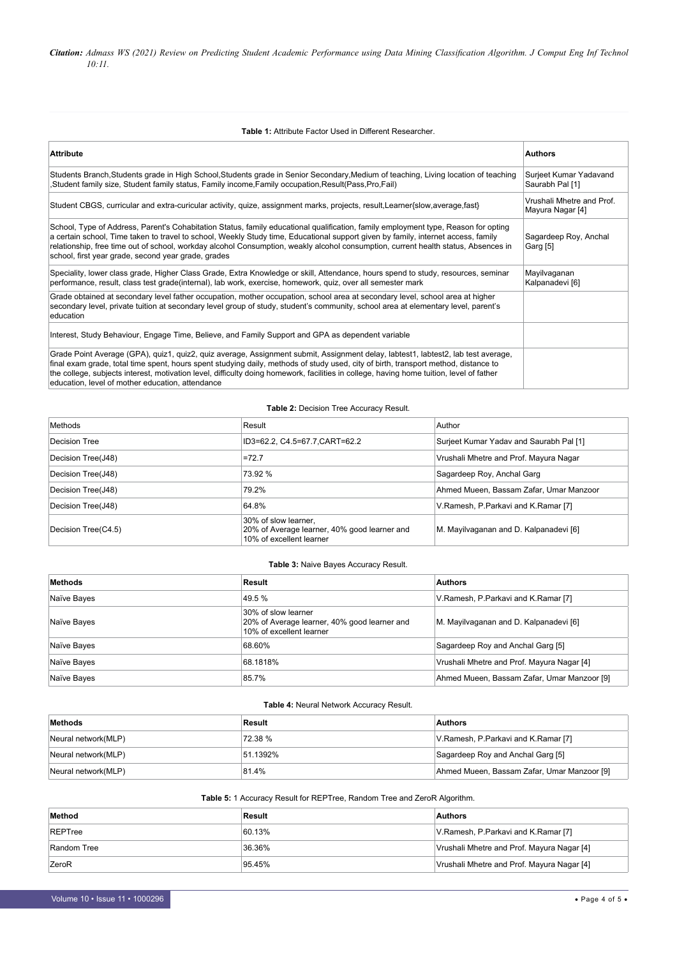*Citation: Admass WS (2021) Review on Predicting Student Academic Performance using Data Mining Classification Algorithm. J Comput Eng Inf Technol 10:11.*

#### **Table 1:** Attribute Factor Used in Different Researcher.

| <b>Attribute</b>                                                                                                                                                                                                                                                                                                                                                                                                                                                         | <b>Authors</b>                                |
|--------------------------------------------------------------------------------------------------------------------------------------------------------------------------------------------------------------------------------------------------------------------------------------------------------------------------------------------------------------------------------------------------------------------------------------------------------------------------|-----------------------------------------------|
| Students Branch, Students grade in High School, Students grade in Senior Secondary, Medium of teaching, Living location of teaching<br>(Student family size, Student family status, Family income,Family occupation,Result(Pass,Pro,Fail,                                                                                                                                                                                                                                | Surjeet Kumar Yadavand<br>Saurabh Pal [1]     |
| Student CBGS, curricular and extra-curicular activity, quize, assignment marks, projects, result, Learner{slow, average, fast}                                                                                                                                                                                                                                                                                                                                           | Vrushali Mhetre and Prof.<br>Mayura Nagar [4] |
| School, Type of Address, Parent's Cohabitation Status, family educational qualification, family employment type, Reason for opting<br>a certain school, Time taken to travel to school, Weekly Study time, Educational support given by family, internet access, family<br>relationship, free time out of school, workday alcohol Consumption, weakly alcohol consumption, current health status, Absences in<br>school, first year grade, second year grade, grades     | Sagardeep Roy, Anchal<br>Garg [5]             |
| Speciality, lower class grade, Higher Class Grade, Extra Knowledge or skill, Attendance, hours spend to study, resources, seminar<br>performance, result, class test grade(internal), lab work, exercise, homework, quiz, over all semester mark                                                                                                                                                                                                                         | Mayilvaganan<br>Kalpanadevi [6]               |
| Grade obtained at secondary level father occupation, mother occupation, school area at secondary level, school area at higher<br>secondary level, private tuition at secondary level group of study, student's community, school area at elementary level, parent's<br>education                                                                                                                                                                                         |                                               |
| Interest, Study Behaviour, Engage Time, Believe, and Family Support and GPA as dependent variable                                                                                                                                                                                                                                                                                                                                                                        |                                               |
| Grade Point Average (GPA), quiz1, quiz2, quiz average, Assignment submit, Assignment delay, labtest1, labtest2, lab test average,<br>final exam grade, total time spent, hours spent studying daily, methods of study used, city of birth, transport method, distance to<br>the college, subjects interest, motivation level, difficulty doing homework, facilities in college, having home tuition, level of father<br>education, level of mother education, attendance |                                               |

#### **Table 2:** Decision Tree Accuracy Result.

| Methods             | Result                                                                                           | Author                                  |
|---------------------|--------------------------------------------------------------------------------------------------|-----------------------------------------|
| Decision Tree       | ID3=62.2, C4.5=67.7, CART=62.2                                                                   | Surjeet Kumar Yadav and Saurabh Pal [1] |
| Decision Tree(J48)  | $=72.7$                                                                                          | Vrushali Mhetre and Prof. Mayura Nagar  |
| Decision Tree(J48)  | 73.92 %                                                                                          | Sagardeep Roy, Anchal Garg              |
| Decision Tree(J48)  | 79.2%                                                                                            | Ahmed Mueen, Bassam Zafar, Umar Manzoor |
| Decision Tree(J48)  | 64.8%                                                                                            | V.Ramesh, P.Parkavi and K.Ramar [7]     |
| Decision Tree(C4.5) | 30% of slow learner.<br>20% of Average learner, 40% good learner and<br>10% of excellent learner | M. Mayilvaganan and D. Kalpanadevi [6]  |

#### **Table 3:** Naive Bayes Accuracy Result.

| Methods     | Result                                                                                          | <b>Authors</b>                              |
|-------------|-------------------------------------------------------------------------------------------------|---------------------------------------------|
| Naïve Bayes | 49.5 %                                                                                          | V.Ramesh, P.Parkavi and K.Ramar [7]         |
| Naïve Bayes | 30% of slow learner<br>20% of Average learner, 40% good learner and<br>10% of excellent learner | M. Mayilvaganan and D. Kalpanadevi [6]      |
| Naïve Bayes | 68.60%                                                                                          | Sagardeep Roy and Anchal Garg [5]           |
| Naïve Bayes | 68.1818%                                                                                        | Vrushali Mhetre and Prof. Mayura Nagar [4]  |
| Naïve Bayes | 85.7%                                                                                           | Ahmed Mueen, Bassam Zafar, Umar Manzoor [9] |

#### **Table 4:** Neural Network Accuracy Result.

| Methods             | Result   | <b>Authors</b>                              |
|---------------------|----------|---------------------------------------------|
| Neural network(MLP) | 72.38 %  | V.Ramesh, P.Parkavi and K.Ramar [7]         |
| Neural network(MLP) | 51.1392% | Sagardeep Roy and Anchal Garg [5]           |
| Neural network(MLP) | 81.4%    | Ahmed Mueen, Bassam Zafar, Umar Manzoor [9] |

#### **Table 5:** 1 Accuracy Result for REPTree, Random Tree and ZeroR Algorithm.

| Method       | Result | <b>Authors</b>                             |
|--------------|--------|--------------------------------------------|
| REPTree      | 60.13% | V.Ramesh, P.Parkavi and K.Ramar [7]        |
| Random Tree  | 36.36% | Vrushali Mhetre and Prof. Mayura Nagar [4] |
| <b>ZeroR</b> | 95.45% | Vrushali Mhetre and Prof. Mayura Nagar [4] |